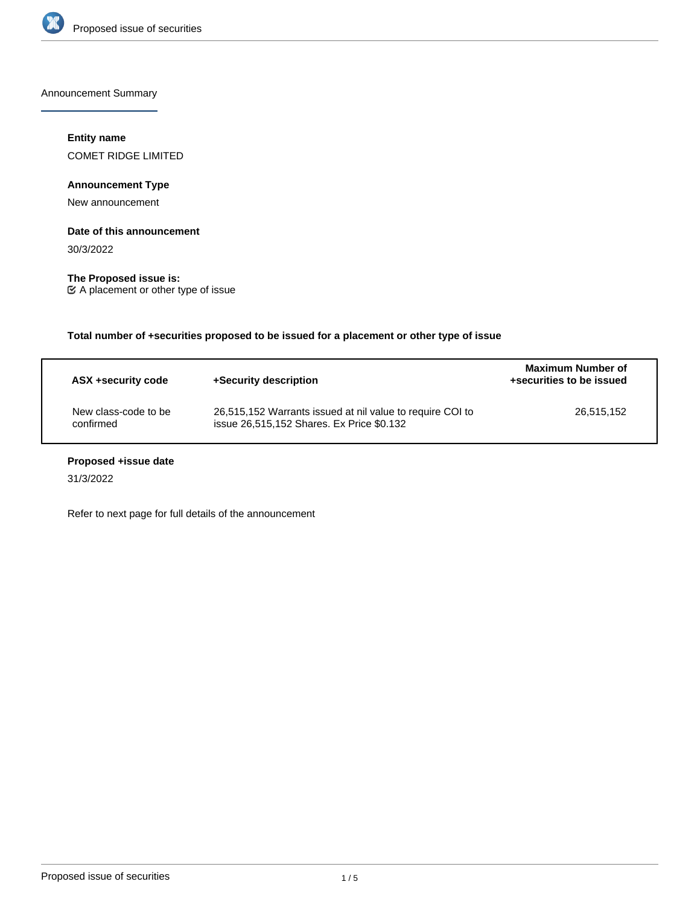

Announcement Summary

## **Entity name**

COMET RIDGE LIMITED

# **Announcement Type**

New announcement

### **Date of this announcement**

30/3/2022

**The Proposed issue is:** A placement or other type of issue

**Total number of +securities proposed to be issued for a placement or other type of issue**

| ASX +security code                | +Security description                                                                                  | <b>Maximum Number of</b><br>+securities to be issued |
|-----------------------------------|--------------------------------------------------------------------------------------------------------|------------------------------------------------------|
| New class-code to be<br>confirmed | 26,515,152 Warrants issued at nil value to require COI to<br>issue 26,515,152 Shares. Ex Price \$0.132 | 26.515.152                                           |

# **Proposed +issue date**

31/3/2022

Refer to next page for full details of the announcement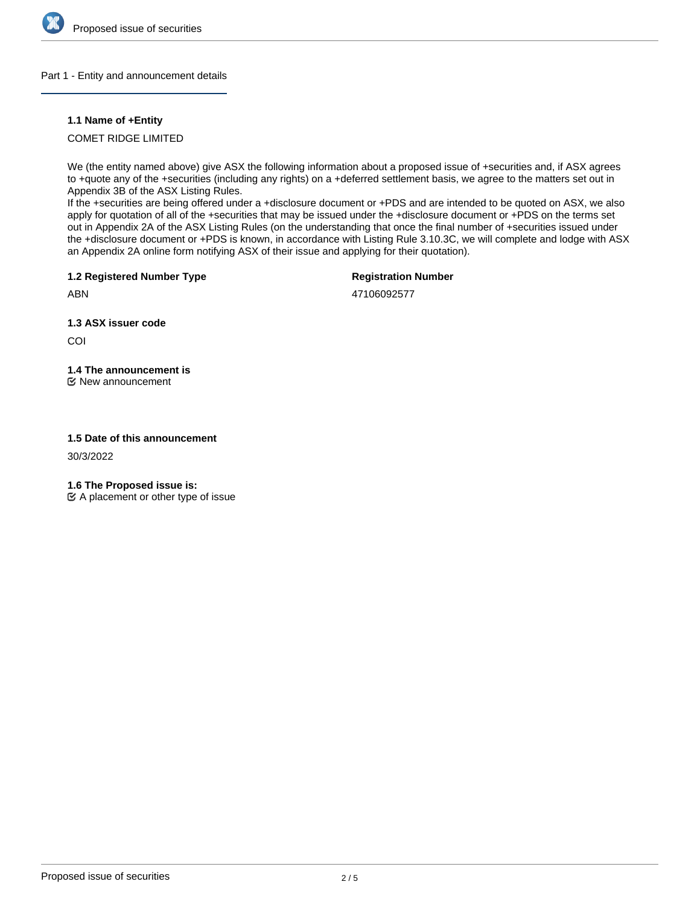

### Part 1 - Entity and announcement details

### **1.1 Name of +Entity**

# COMET RIDGE LIMITED

We (the entity named above) give ASX the following information about a proposed issue of +securities and, if ASX agrees to +quote any of the +securities (including any rights) on a +deferred settlement basis, we agree to the matters set out in Appendix 3B of the ASX Listing Rules.

If the +securities are being offered under a +disclosure document or +PDS and are intended to be quoted on ASX, we also apply for quotation of all of the +securities that may be issued under the +disclosure document or +PDS on the terms set out in Appendix 2A of the ASX Listing Rules (on the understanding that once the final number of +securities issued under the +disclosure document or +PDS is known, in accordance with Listing Rule 3.10.3C, we will complete and lodge with ASX an Appendix 2A online form notifying ASX of their issue and applying for their quotation).

**1.2 Registered Number Type**

## **Registration Number**

47106092577

**1.3 ASX issuer code**

COI

ABN

# **1.4 The announcement is**

New announcement

# **1.5 Date of this announcement**

30/3/2022

**1.6 The Proposed issue is:**

 $\mathfrak{C}$  A placement or other type of issue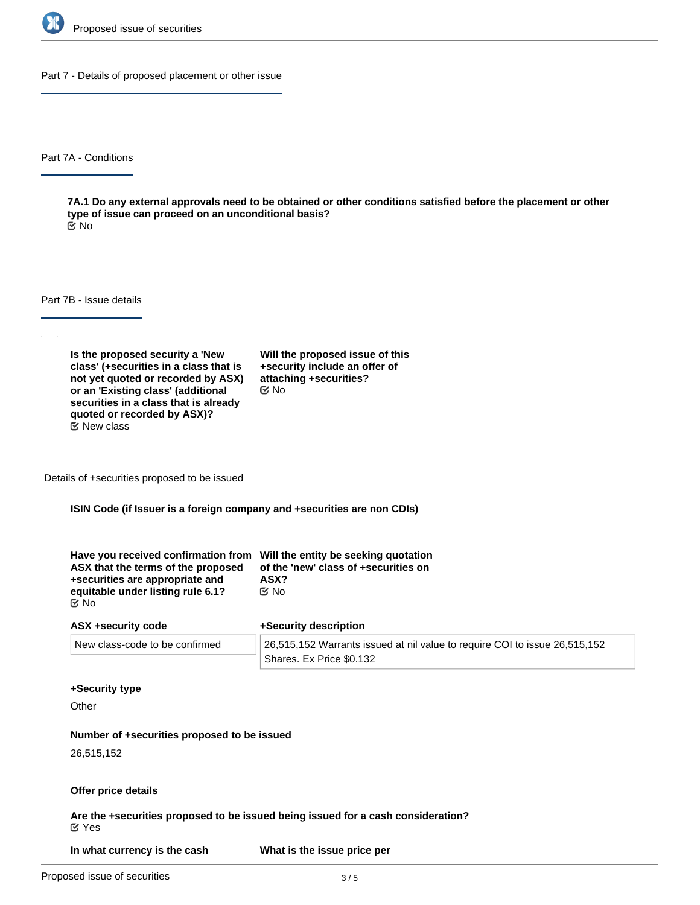

Part 7 - Details of proposed placement or other issue

Part 7A - Conditions

**7A.1 Do any external approvals need to be obtained or other conditions satisfied before the placement or other type of issue can proceed on an unconditional basis?** No

Part 7B - Issue details

**Is the proposed security a 'New class' (+securities in a class that is not yet quoted or recorded by ASX) or an 'Existing class' (additional securities in a class that is already quoted or recorded by ASX)?**  $E$  New class

**Will the proposed issue of this +security include an offer of attaching +securities?** No

Details of +securities proposed to be issued

**ISIN Code (if Issuer is a foreign company and +securities are non CDIs)**

| Have you received confirmation from Will the entity be seeking quotation<br>ASX that the terms of the proposed<br>+securities are appropriate and | of the 'new' class of +securities on<br>ASX? |
|---------------------------------------------------------------------------------------------------------------------------------------------------|----------------------------------------------|
| equitable under listing rule 6.1?                                                                                                                 | ় No                                         |
| C⁄No                                                                                                                                              |                                              |

| ASX +security code             | +Security description                                                              |  |
|--------------------------------|------------------------------------------------------------------------------------|--|
| New class-code to be confirmed | $\vert$ 26,515,152 Warrants issued at nil value to require COI to issue 26,515,152 |  |
|                                | Shares. Ex Price \$0.132                                                           |  |

#### **+Security type**

**Other** 

### **Number of +securities proposed to be issued**

26,515,152

### **Offer price details**

**Are the +securities proposed to be issued being issued for a cash consideration?** Yes

**+security?**

**In what currency is the cash What is the issue price per**

**consideration being paid?**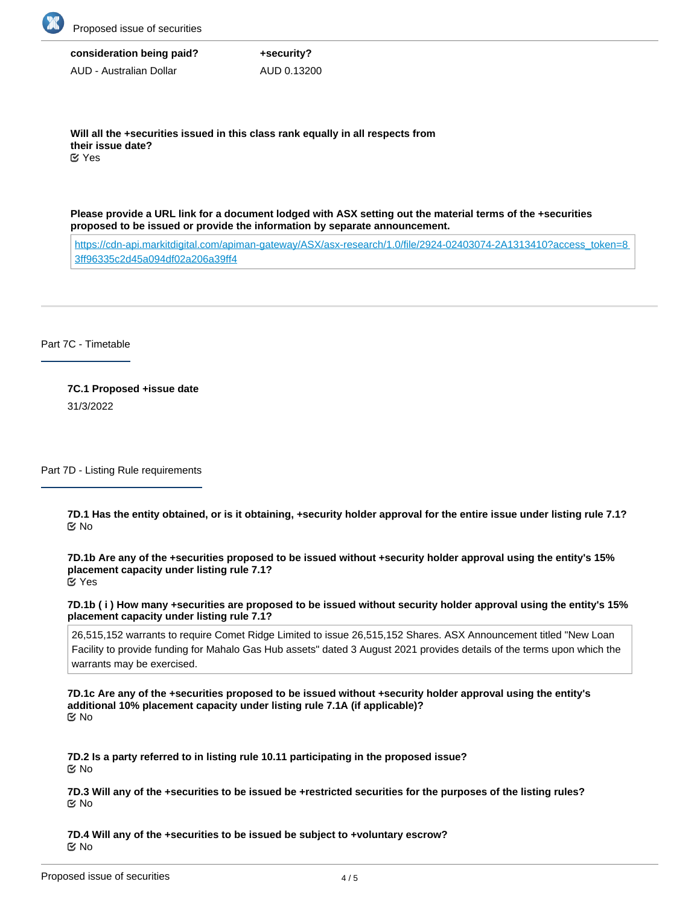

**consideration being paid?** AUD - Australian Dollar **+security?** AUD 0.13200

**Will all the +securities issued in this class rank equally in all respects from their issue date?** Yes

**Please provide a URL link for a document lodged with ASX setting out the material terms of the +securities proposed to be issued or provide the information by separate announcement.**

[https://cdn-api.markitdigital.com/apiman-gateway/ASX/asx-research/1.0/file/2924-02403074-2A1313410?access\\_token=8](https://cdn-api.markitdigital.com/apiman-gateway/ASX/asx-research/1.0/file/2924-02403074-2A1313410?access_token=83ff96335c2d45a094df02a206a39ff4) [3ff96335c2d45a094df02a206a39ff4](https://cdn-api.markitdigital.com/apiman-gateway/ASX/asx-research/1.0/file/2924-02403074-2A1313410?access_token=83ff96335c2d45a094df02a206a39ff4)

Part 7C - Timetable

**7C.1 Proposed +issue date** 31/3/2022

Part 7D - Listing Rule requirements

**7D.1 Has the entity obtained, or is it obtaining, +security holder approval for the entire issue under listing rule 7.1?** No

**7D.1b Are any of the +securities proposed to be issued without +security holder approval using the entity's 15% placement capacity under listing rule 7.1?** Yes

**7D.1b ( i ) How many +securities are proposed to be issued without security holder approval using the entity's 15% placement capacity under listing rule 7.1?**

26,515,152 warrants to require Comet Ridge Limited to issue 26,515,152 Shares. ASX Announcement titled "New Loan Facility to provide funding for Mahalo Gas Hub assets" dated 3 August 2021 provides details of the terms upon which the warrants may be exercised.

**7D.1c Are any of the +securities proposed to be issued without +security holder approval using the entity's additional 10% placement capacity under listing rule 7.1A (if applicable)?** No

**7D.2 Is a party referred to in listing rule 10.11 participating in the proposed issue?** No

**7D.3 Will any of the +securities to be issued be +restricted securities for the purposes of the listing rules?** No

**7D.4 Will any of the +securities to be issued be subject to +voluntary escrow?** No